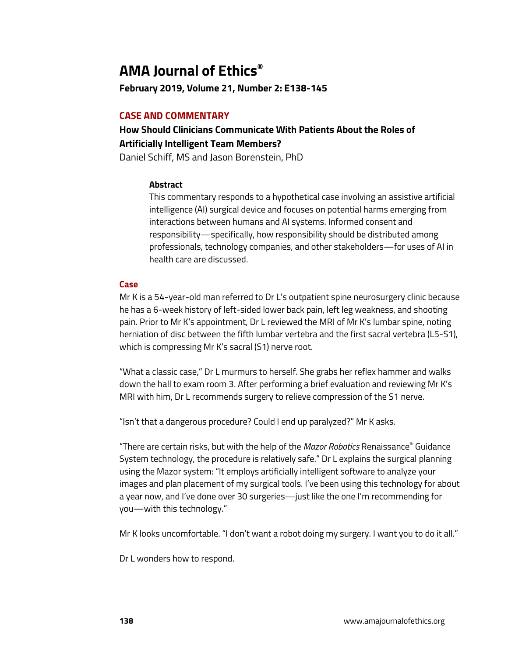# **AMA Journal of Ethics®**

**February 2019, Volume 21, Number 2: E138-145**

## **CASE AND COMMENTARY**

## **How Should Clinicians Communicate With Patients About the Roles of Artificially Intelligent Team Members?**

Daniel Schiff, MS and Jason Borenstein, PhD

## **Abstract**

This commentary responds to a hypothetical case involving an assistive artificial intelligence (AI) surgical device and focuses on potential harms emerging from interactions between humans and AI systems. Informed consent and responsibility—specifically, how responsibility should be distributed among professionals, technology companies, and other stakeholders—for uses of AI in health care are discussed.

## **Case**

Mr K is a 54-year-old man referred to Dr L's outpatient spine neurosurgery clinic because he has a 6-week history of left-sided lower back pain, left leg weakness, and shooting pain. Prior to Mr K's appointment, Dr L reviewed the MRI of Mr K's lumbar spine, noting herniation of disc between the fifth lumbar vertebra and the first sacral vertebra (L5-S1), which is compressing Mr K's sacral (S1) nerve root.

"What a classic case," Dr L murmurs to herself. She grabs her reflex hammer and walks down the hall to exam room 3. After performing a brief evaluation and reviewing Mr K's MRI with him, Dr L recommends surgery to relieve compression of the S1 nerve.

"Isn't that a dangerous procedure? Could I end up paralyzed?" Mr K asks.

"There are certain risks, but with the help of the *Mazor Robotics* Renaissance® Guidance System technology, the procedure is relatively safe." Dr L explains the surgical planning using the Mazor system: "It employs artificially intelligent software to analyze your images and plan placement of my surgical tools. I've been using this technology for about a year now, and I've done over 30 surgeries—just like the one I'm recommending for you—with this technology."

Mr K looks uncomfortable. "I don't want a robot doing my surgery. I want you to do it all."

Dr L wonders how to respond.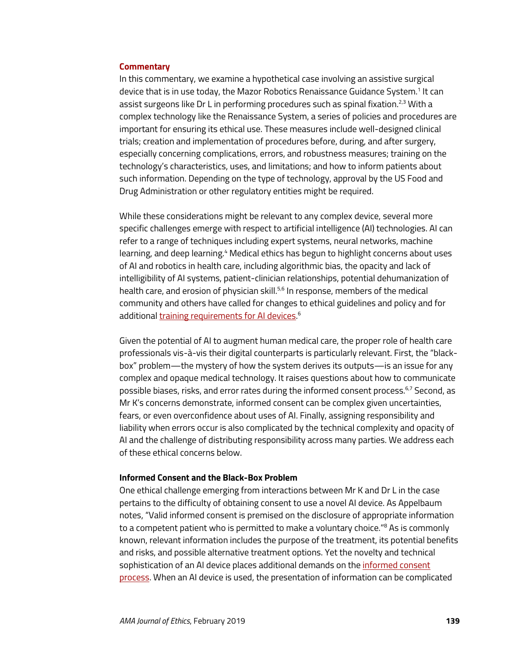#### **Commentary**

In this commentary, we examine a hypothetical case involving an assistive surgical device that is in use today, the Mazor Robotics Renaissance Guidance System.<sup>1</sup> It can assist surgeons like Dr L in performing procedures such as spinal fixation.<sup>2,3</sup> With a complex technology like the Renaissance System, a series of policies and procedures are important for ensuring its ethical use. These measures include well-designed clinical trials; creation and implementation of procedures before, during, and after surgery, especially concerning complications, errors, and robustness measures; training on the technology's characteristics, uses, and limitations; and how to inform patients about such information. Depending on the type of technology, approval by the US Food and Drug Administration or other regulatory entities might be required.

While these considerations might be relevant to any complex device, several more specific challenges emerge with respect to artificial intelligence (AI) technologies. AI can refer to a range of techniques including expert systems, neural networks, machine learning, and deep learning. <sup>4</sup> Medical ethics has begun to highlight concerns about uses of AI and robotics in health care, including algorithmic bias, the opacity and lack of intelligibility of AI systems, patient-clinician relationships, potential dehumanization of health care, and erosion of physician skill.<sup>5,6</sup> In response, members of the medical community and others have called for changes to ethical guidelines and policy and for additional *training requirements for AI devices*.<sup>6</sup>

Given the potential of AI to augment human medical care, the proper role of health care professionals vis-à-vis their digital counterparts is particularly relevant. First, the "blackbox" problem—the mystery of how the system derives its outputs—is an issue for any complex and opaque medical technology. It raises questions about how to communicate possible biases, risks, and error rates during the informed consent process.<sup>6,7</sup> Second, as Mr K's concerns demonstrate, informed consent can be complex given uncertainties, fears, or even overconfidence about uses of AI. Finally, assigning responsibility and liability when errors occur is also complicated by the technical complexity and opacity of AI and the challenge of distributing responsibility across many parties. We address each of these ethical concerns below.

#### **Informed Consent and the Black-Box Problem**

One ethical challenge emerging from interactions between Mr K and Dr L in the case pertains to the difficulty of obtaining consent to use a novel AI device. As Appelbaum notes, "Valid informed consent is premised on the disclosure of appropriate information to a competent patient who is permitted to make a voluntary choice."<sup>8</sup> As is commonly known, relevant information includes the purpose of the treatment, its potential benefits and risks, and possible alternative treatment options. Yet the novelty and technical sophistication of an AI device places additional demands on the [informed consent](https://journalofethics.ama-assn.org/article/it-ethical-use-prognostic-estimates-machine-learning-treat-psychosis/2018-09)  [process.](https://journalofethics.ama-assn.org/article/it-ethical-use-prognostic-estimates-machine-learning-treat-psychosis/2018-09) When an AI device is used, the presentation of information can be complicated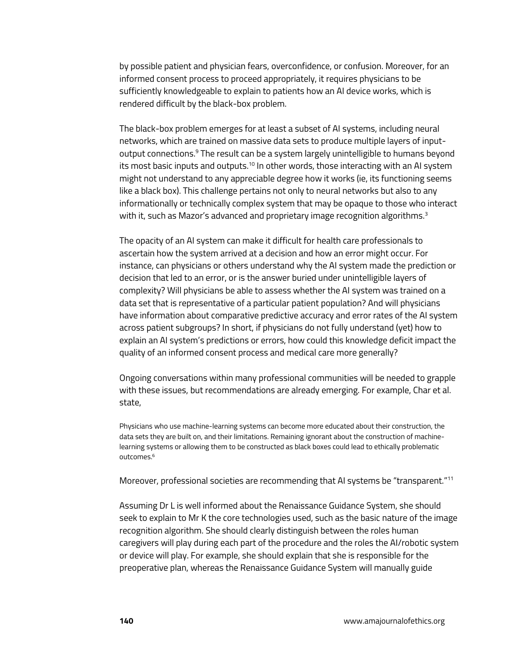by possible patient and physician fears, overconfidence, or confusion. Moreover, for an informed consent process to proceed appropriately, it requires physicians to be sufficiently knowledgeable to explain to patients how an AI device works, which is rendered difficult by the black-box problem.

The black-box problem emerges for at least a subset of AI systems, including neural networks, which are trained on massive data sets to produce multiple layers of inputoutput connections.<sup>9</sup> The result can be a system largely unintelligible to humans beyond its most basic inputs and outputs.<sup>10</sup> In other words, those interacting with an AI system might not understand to any appreciable degree how it works (ie, its functioning seems like a black box). This challenge pertains not only to neural networks but also to any informationally or technically complex system that may be opaque to those who interact with it, such as Mazor's advanced and proprietary image recognition algorithms.<sup>3</sup>

The opacity of an AI system can make it difficult for health care professionals to ascertain how the system arrived at a decision and how an error might occur. For instance, can physicians or others understand why the AI system made the prediction or decision that led to an error, or is the answer buried under unintelligible layers of complexity? Will physicians be able to assess whether the AI system was trained on a data set that is representative of a particular patient population? And will physicians have information about comparative predictive accuracy and error rates of the AI system across patient subgroups? In short, if physicians do not fully understand (yet) how to explain an AI system's predictions or errors, how could this knowledge deficit impact the quality of an informed consent process and medical care more generally?

Ongoing conversations within many professional communities will be needed to grapple with these issues, but recommendations are already emerging. For example, Char et al. state,

Physicians who use machine-learning systems can become more educated about their construction, the data sets they are built on, and their limitations. Remaining ignorant about the construction of machinelearning systems or allowing them to be constructed as black boxes could lead to ethically problematic outcomes.6

Moreover, professional societies are recommending that AI systems be "transparent."11

Assuming Dr L is well informed about the Renaissance Guidance System, she should seek to explain to Mr K the core technologies used, such as the basic nature of the image recognition algorithm. She should clearly distinguish between the roles human caregivers will play during each part of the procedure and the roles the AI/robotic system or device will play. For example, she should explain that she is responsible for the preoperative plan, whereas the Renaissance Guidance System will manually guide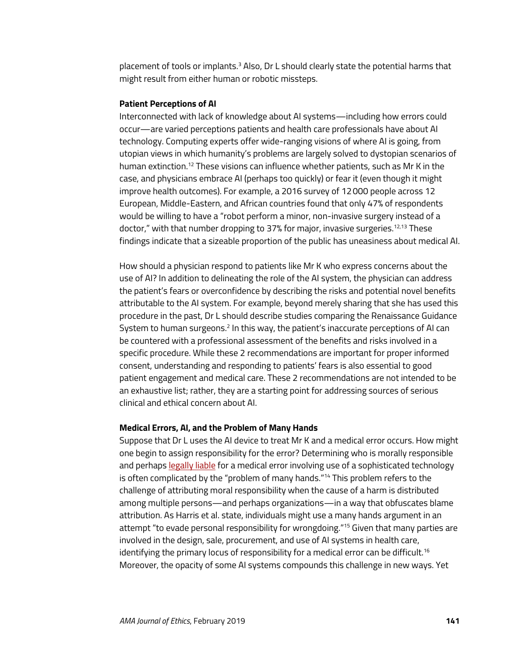placement of tools or implants. $3$  Also, Dr L should clearly state the potential harms that might result from either human or robotic missteps.

#### **Patient Perceptions of AI**

Interconnected with lack of knowledge about AI systems—including how errors could occur—are varied perceptions patients and health care professionals have about AI technology. Computing experts offer wide-ranging visions of where AI is going, from utopian views in which humanity's problems are largely solved to dystopian scenarios of human extinction.12 These visions can influence whether patients, such as Mr K in the case, and physicians embrace AI (perhaps too quickly) or fear it (even though it might improve health outcomes). For example, a 2016 survey of 12000 people across 12 European, Middle-Eastern, and African countries found that only 47% of respondents would be willing to have a "robot perform a minor, non-invasive surgery instead of a doctor," with that number dropping to 37% for major, invasive surgeries.<sup>12,13</sup> These findings indicate that a sizeable proportion of the public has uneasiness about medical AI.

How should a physician respond to patients like Mr K who express concerns about the use of AI? In addition to delineating the role of the AI system, the physician can address the patient's fears or overconfidence by describing the risks and potential novel benefits attributable to the AI system. For example, beyond merely sharing that she has used this procedure in the past, Dr L should describe studies comparing the Renaissance Guidance System to human surgeons.<sup>2</sup> In this way, the patient's inaccurate perceptions of AI can be countered with a professional assessment of the benefits and risks involved in a specific procedure. While these 2 recommendations are important for proper informed consent, understanding and responding to patients' fears is also essential to good patient engagement and medical care. These 2 recommendations are not intended to be an exhaustive list; rather, they are a starting point for addressing sources of serious clinical and ethical concern about AI.

#### **Medical Errors, AI, and the Problem of Many Hands**

Suppose that Dr L uses the AI device to treat Mr K and a medical error occurs. How might one begin to assign responsibility for the error? Determining who is morally responsible and perhap[s legally liable](https://journalofethics.ama-assn.org/article/are-current-tort-liability-doctrines-adequate-addressing-injury-caused-ai/2019-02) for a medical error involving use of a sophisticated technology is often complicated by the "problem of many hands."<sup>14</sup> This problem refers to the challenge of attributing moral responsibility when the cause of a harm is distributed among multiple persons—and perhaps organizations—in a way that obfuscates blame attribution. As Harris et al. state, individuals might use a many hands argument in an attempt "to evade personal responsibility for wrongdoing."15 Given that many parties are involved in the design, sale, procurement, and use of AI systems in health care, identifying the primary locus of responsibility for a medical error can be difficult.<sup>16</sup> Moreover, the opacity of some AI systems compounds this challenge in new ways. Yet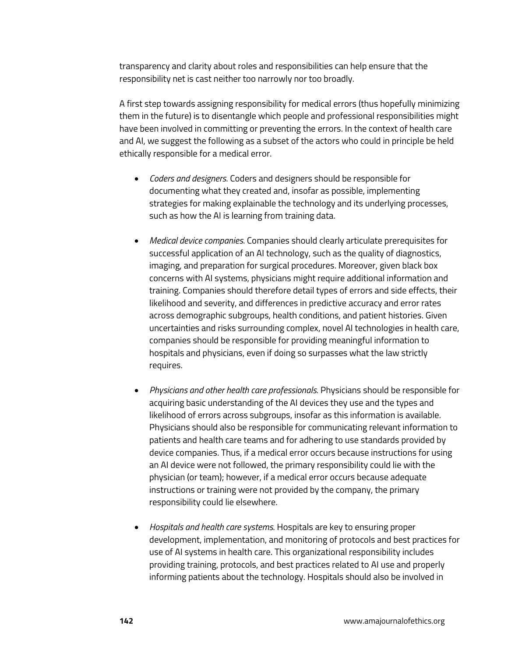transparency and clarity about roles and responsibilities can help ensure that the responsibility net is cast neither too narrowly nor too broadly.

A first step towards assigning responsibility for medical errors (thus hopefully minimizing them in the future) is to disentangle which people and professional responsibilities might have been involved in committing or preventing the errors. In the context of health care and AI, we suggest the following as a subset of the actors who could in principle be held ethically responsible for a medical error.

- *Coders and designers*. Coders and designers should be responsible for documenting what they created and, insofar as possible, implementing strategies for making explainable the technology and its underlying processes, such as how the AI is learning from training data.
- *Medical device companies*. Companies should clearly articulate prerequisites for successful application of an AI technology, such as the quality of diagnostics, imaging, and preparation for surgical procedures. Moreover, given black box concerns with AI systems, physicians might require additional information and training. Companies should therefore detail types of errors and side effects, their likelihood and severity, and differences in predictive accuracy and error rates across demographic subgroups, health conditions, and patient histories. Given uncertainties and risks surrounding complex, novel AI technologies in health care, companies should be responsible for providing meaningful information to hospitals and physicians, even if doing so surpasses what the law strictly requires.
- *Physicians and other health care professionals*. Physicians should be responsible for acquiring basic understanding of the AI devices they use and the types and likelihood of errors across subgroups, insofar as this information is available. Physicians should also be responsible for communicating relevant information to patients and health care teams and for adhering to use standards provided by device companies. Thus, if a medical error occurs because instructions for using an AI device were not followed, the primary responsibility could lie with the physician (or team); however, if a medical error occurs because adequate instructions or training were not provided by the company, the primary responsibility could lie elsewhere.
- *Hospitals and health care systems*. Hospitals are key to ensuring proper development, implementation, and monitoring of protocols and best practices for use of AI systems in health care. This organizational responsibility includes providing training, protocols, and best practices related to AI use and properly informing patients about the technology. Hospitals should also be involved in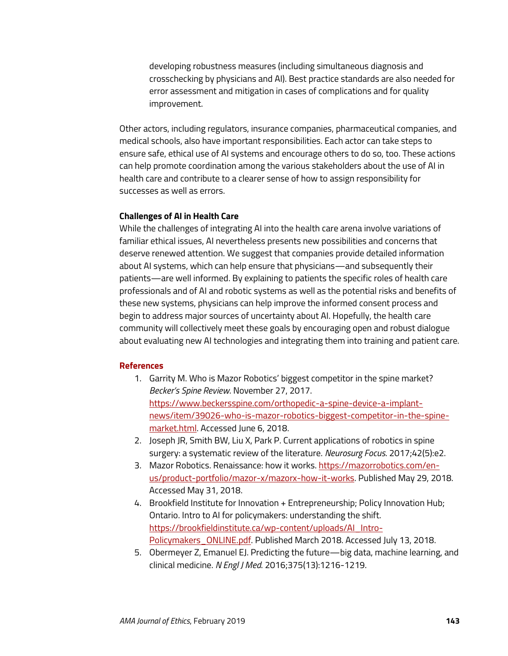developing robustness measures (including simultaneous diagnosis and crosschecking by physicians and AI). Best practice standards are also needed for error assessment and mitigation in cases of complications and for quality improvement.

Other actors, including regulators, insurance companies, pharmaceutical companies, and medical schools, also have important responsibilities. Each actor can take steps to ensure safe, ethical use of AI systems and encourage others to do so, too. These actions can help promote coordination among the various stakeholders about the use of AI in health care and contribute to a clearer sense of how to assign responsibility for successes as well as errors.

#### **Challenges of AI in Health Care**

While the challenges of integrating AI into the health care arena involve variations of familiar ethical issues, AI nevertheless presents new possibilities and concerns that deserve renewed attention. We suggest that companies provide detailed information about AI systems, which can help ensure that physicians—and subsequently their patients—are well informed. By explaining to patients the specific roles of health care professionals and of AI and robotic systems as well as the potential risks and benefits of these new systems, physicians can help improve the informed consent process and begin to address major sources of uncertainty about AI. Hopefully, the health care community will collectively meet these goals by encouraging open and robust dialogue about evaluating new AI technologies and integrating them into training and patient care.

#### **References**

- 1. Garrity M. Who is Mazor Robotics' biggest competitor in the spine market? *Becker's Spine Review*. November 27, 2017. [https://www.beckersspine.com/orthopedic-a-spine-device-a-implant](https://www.beckersspine.com/orthopedic-a-spine-device-a-implant-news/item/39026-who-is-mazor-robotics-biggest-competitor-in-the-spine-market.html)[news/item/39026-who-is-mazor-robotics-biggest-competitor-in-the-spine](https://www.beckersspine.com/orthopedic-a-spine-device-a-implant-news/item/39026-who-is-mazor-robotics-biggest-competitor-in-the-spine-market.html)[market.html.](https://www.beckersspine.com/orthopedic-a-spine-device-a-implant-news/item/39026-who-is-mazor-robotics-biggest-competitor-in-the-spine-market.html) Accessed June 6, 2018.
- 2. Joseph JR, Smith BW, Liu X, Park P. Current applications of robotics in spine surgery: a systematic review of the literature. *Neurosurg Focus*. 2017;42(5):e2.
- 3. Mazor Robotics. Renaissance: how it works. [https://mazorrobotics.com/en](https://mazorrobotics.com/en-us/product-portfolio/mazor-x/mazorx-how-it-works)[us/product-portfolio/mazor-x/mazorx-how-it-works.](https://mazorrobotics.com/en-us/product-portfolio/mazor-x/mazorx-how-it-works) Published May 29, 2018. Accessed May 31, 2018.
- 4. Brookfield Institute for Innovation + Entrepreneurship; Policy Innovation Hub; Ontario. Intro to AI for policymakers: understanding the shift. [https://brookfieldinstitute.ca/wp-content/uploads/AI\\_Intro-](https://brookfieldinstitute.ca/wp-content/uploads/AI_Intro-Policymakers_ONLINE.pdf)[Policymakers\\_ONLINE.pdf.](https://brookfieldinstitute.ca/wp-content/uploads/AI_Intro-Policymakers_ONLINE.pdf) Published March 2018. Accessed July 13, 2018.
- 5. Obermeyer Z, Emanuel EJ. Predicting the future—big data, machine learning, and clinical medicine. *N Engl J Med*. 2016;375(13):1216-1219.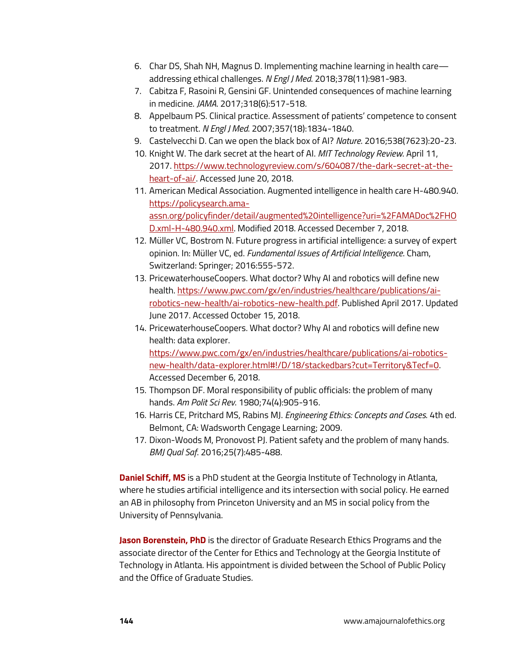- 6. Char DS, Shah NH, Magnus D. Implementing machine learning in health care addressing ethical challenges. *N Engl J Med*. 2018;378(11):981-983.
- 7. Cabitza F, Rasoini R, Gensini GF. Unintended consequences of machine learning in medicine. *JAMA*. 2017;318(6):517-518.
- 8. Appelbaum PS. Clinical practice. Assessment of patients' competence to consent to treatment. *N Engl J Med*. 2007;357(18):1834-1840.
- 9. Castelvecchi D. Can we open the black box of AI? *Nature*. 2016;538(7623):20-23.
- 10. Knight W. The dark secret at the heart of AI. *MIT Technology Review*. April 11, 2017[. https://www.technologyreview.com/s/604087/the-dark-secret-at-the](https://www.technologyreview.com/s/604087/the-dark-secret-at-the-heart-of-ai/)[heart-of-ai/.](https://www.technologyreview.com/s/604087/the-dark-secret-at-the-heart-of-ai/) Accessed June 20, 2018.
- 11. American Medical Association. Augmented intelligence in health care H-480.940. [https://policysearch.ama](https://policysearch.ama-assn.org/policyfinder/detail/augmented%20intelligence?uri=%2FAMADoc%2FHOD.xml-H-480.940.xml)[assn.org/policyfinder/detail/augmented%20intelligence?uri=%2FAMADoc%2FHO](https://policysearch.ama-assn.org/policyfinder/detail/augmented%20intelligence?uri=%2FAMADoc%2FHOD.xml-H-480.940.xml) [D.xml-H-480.940.xml.](https://policysearch.ama-assn.org/policyfinder/detail/augmented%20intelligence?uri=%2FAMADoc%2FHOD.xml-H-480.940.xml) Modified 2018. Accessed December 7, 2018.
- 12. Müller VC, Bostrom N. Future progress in artificial intelligence: a survey of expert opinion. In: Müller VC, ed. *Fundamental Issues of Artificial Intelligence*. Cham, Switzerland: Springer; 2016:555-572.
- 13. PricewaterhouseCoopers. What doctor? Why AI and robotics will define new health. [https://www.pwc.com/gx/en/industries/healthcare/publications/ai](https://www.pwc.com/gx/en/industries/healthcare/publications/ai-robotics-new-health/ai-robotics-new-health.pdf)[robotics-new-health/ai-robotics-new-health.pdf.](https://www.pwc.com/gx/en/industries/healthcare/publications/ai-robotics-new-health/ai-robotics-new-health.pdf) Published April 2017. Updated June 2017. Accessed October 15, 2018.
- 14. PricewaterhouseCoopers. What doctor? Why AI and robotics will define new health: data explorer. [https://www.pwc.com/gx/en/industries/healthcare/publications/ai-robotics](https://www.pwc.com/gx/en/industries/healthcare/publications/ai-robotics-new-health/data-explorer.html#!/D/18/stackedbars?cut=Territory&Tecf=0)[new-health/data-explorer.html#!/D/18/stackedbars?cut=Territory&Tecf=0.](https://www.pwc.com/gx/en/industries/healthcare/publications/ai-robotics-new-health/data-explorer.html#!/D/18/stackedbars?cut=Territory&Tecf=0) Accessed December 6, 2018.
- 15. Thompson DF. Moral responsibility of public officials: the problem of many hands. *Am Polit Sci Rev*. 1980;74(4):905-916.
- 16. Harris CE, Pritchard MS, Rabins MJ. *Engineering Ethics: Concepts and Cases*. 4th ed. Belmont, CA: Wadsworth Cengage Learning; 2009.
- 17. Dixon-Woods M, Pronovost PJ. Patient safety and the problem of many hands. *BMJ Qual Saf*. 2016;25(7):485-488.

**Daniel Schiff, MS** is a PhD student at the Georgia Institute of Technology in Atlanta, where he studies artificial intelligence and its intersection with social policy. He earned an AB in philosophy from Princeton University and an MS in social policy from the University of Pennsylvania.

**Jason Borenstein, PhD** is the director of Graduate Research Ethics Programs and the associate director of the Center for Ethics and Technology at the Georgia Institute of Technology in Atlanta. His appointment is divided between the School of Public Policy and the Office of Graduate Studies.